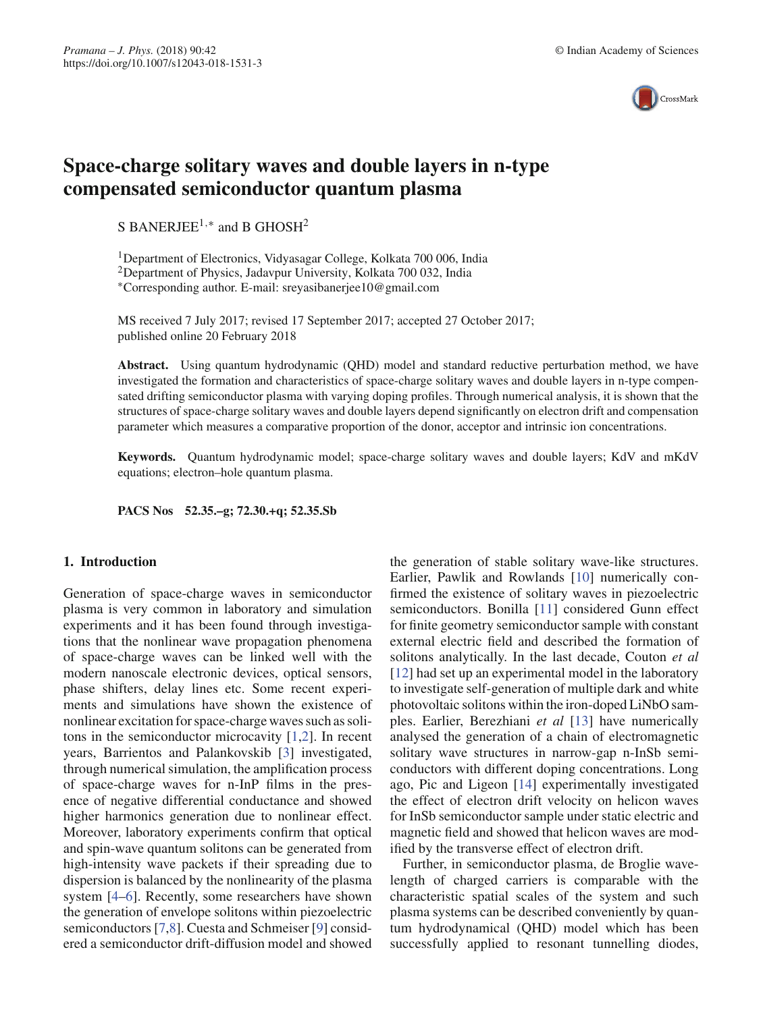

# **Space-charge solitary waves and double layers in n-type compensated semiconductor quantum plasma**

S BANERJEE<sup>1,\*</sup> and B GHOSH<sup>2</sup>

1Department of Electronics, Vidyasagar College, Kolkata 700 006, India 2Department of Physics, Jadavpur University, Kolkata 700 032, India ∗Corresponding author. E-mail: sreyasibanerjee10@gmail.com

MS received 7 July 2017; revised 17 September 2017; accepted 27 October 2017; published online 20 February 2018

**Abstract.** Using quantum hydrodynamic (QHD) model and standard reductive perturbation method, we have investigated the formation and characteristics of space-charge solitary waves and double layers in n-type compensated drifting semiconductor plasma with varying doping profiles. Through numerical analysis, it is shown that the structures of space-charge solitary waves and double layers depend significantly on electron drift and compensation parameter which measures a comparative proportion of the donor, acceptor and intrinsic ion concentrations.

**Keywords.** Quantum hydrodynamic model; space-charge solitary waves and double layers; KdV and mKdV equations; electron–hole quantum plasma.

**PACS Nos 52.35.–g; 72.30.+q; 52.35.Sb**

# **1. Introduction**

Generation of space-charge waves in semiconductor plasma is very common in laboratory and simulation experiments and it has been found through investigations that the nonlinear wave propagation phenomena of space-charge waves can be linked well with the modern nanoscale electronic devices, optical sensors, phase shifters, delay lines etc. Some recent experiments and simulations have shown the existence of nonlinear excitation for space-charge waves such as solitons in the semiconductor microcavity [1,2]. In recent years, Barrientos and Palankovskib [3] investigated, through numerical simulation, the amplification process of space-charge waves for n-InP films in the presence of negative differential conductance and showed higher harmonics generation due to nonlinear effect. Moreover, laboratory experiments confirm that optical and spin-wave quantum solitons can be generated from high-intensity wave packets if their spreading due to dispersion is balanced by the nonlinearity of the plasma system [4–6]. Recently, some researchers have shown the generation of envelope solitons within piezoelectric semiconductors [7,8]. Cuesta and Schmeiser [9] considered a semiconductor drift-diffusion model and showed the generation of stable solitary wave-like structures. Earlier, Pawlik and Rowlands [10] numerically confirmed the existence of solitary waves in piezoelectric semiconductors. Bonilla [11] considered Gunn effect for finite geometry semiconductor sample with constant external electric field and described the formation of solitons analytically. In the last decade, Couton *et al* [12] had set up an experimental model in the laboratory to investigate self-generation of multiple dark and white photovoltaic solitons within the iron-doped LiNbO samples. Earlier, Berezhiani *et al* [13] have numerically analysed the generation of a chain of electromagnetic solitary wave structures in narrow-gap n-InSb semiconductors with different doping concentrations. Long ago, Pic and Ligeon [14] experimentally investigated the effect of electron drift velocity on helicon waves for InSb semiconductor sample under static electric and magnetic field and showed that helicon waves are modified by the transverse effect of electron drift.

Further, in semiconductor plasma, de Broglie wavelength of charged carriers is comparable with the characteristic spatial scales of the system and such plasma systems can be described conveniently by quantum hydrodynamical (QHD) model which has been successfully applied to resonant tunnelling diodes,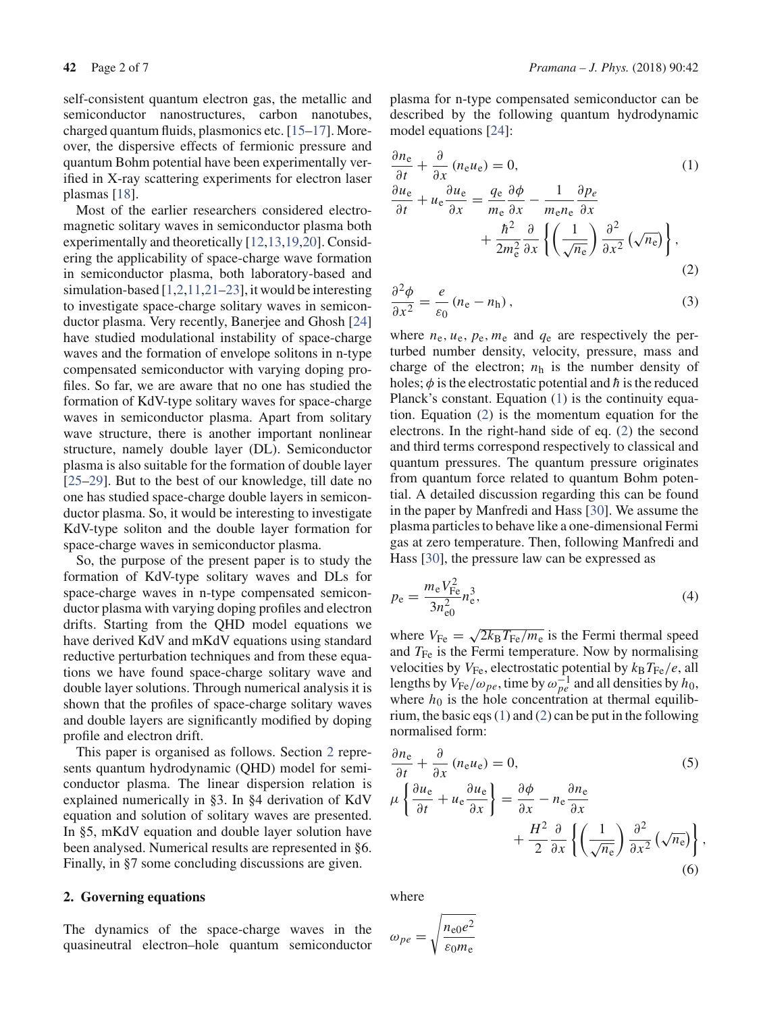self-consistent quantum electron gas, the metallic and semiconductor nanostructures, carbon nanotubes, charged quantum fluids, plasmonics etc. [15–17]. Moreover, the dispersive effects of fermionic pressure and quantum Bohm potential have been experimentally verified in X-ray scattering experiments for electron laser plasmas [18].

Most of the earlier researchers considered electromagnetic solitary waves in semiconductor plasma both experimentally and theoretically [12,13,19,20]. Considering the applicability of space-charge wave formation in semiconductor plasma, both laboratory-based and simulation-based [1,2,11,21–23], it would be interesting to investigate space-charge solitary waves in semiconductor plasma. Very recently, Banerjee and Ghosh [24] have studied modulational instability of space-charge waves and the formation of envelope solitons in n-type compensated semiconductor with varying doping profiles. So far, we are aware that no one has studied the formation of KdV-type solitary waves for space-charge waves in semiconductor plasma. Apart from solitary wave structure, there is another important nonlinear structure, namely double layer (DL). Semiconductor plasma is also suitable for the formation of double layer [25–29]. But to the best of our knowledge, till date no one has studied space-charge double layers in semiconductor plasma. So, it would be interesting to investigate KdV-type soliton and the double layer formation for space-charge waves in semiconductor plasma.

So, the purpose of the present paper is to study the formation of KdV-type solitary waves and DLs for space-charge waves in n-type compensated semiconductor plasma with varying doping profiles and electron drifts. Starting from the QHD model equations we have derived KdV and mKdV equations using standard reductive perturbation techniques and from these equations we have found space-charge solitary wave and double layer solutions. Through numerical analysis it is shown that the profiles of space-charge solitary waves and double layers are significantly modified by doping profile and electron drift.

This paper is organised as follows. Section 2 represents quantum hydrodynamic (QHD) model for semiconductor plasma. The linear dispersion relation is explained numerically in §3. In §4 derivation of KdV equation and solution of solitary waves are presented. In §5, mKdV equation and double layer solution have been analysed. Numerical results are represented in §6. Finally, in §7 some concluding discussions are given.

### **2. Governing equations**

The dynamics of the space-charge waves in the quasineutral electron–hole quantum semiconductor plasma for n-type compensated semiconductor can be described by the following quantum hydrodynamic model equations [24]:

$$
\frac{\partial n_{\rm e}}{\partial t} + \frac{\partial}{\partial x} (n_{\rm e} u_{\rm e}) = 0,
$$
\n
$$
\frac{\partial u_{\rm e}}{\partial t} + u_{\rm e} \frac{\partial u_{\rm e}}{\partial x} = \frac{q_{\rm e}}{m_{\rm e}} \frac{\partial \phi}{\partial x} - \frac{1}{m_{\rm e} n_{\rm e}} \frac{\partial p_{e}}{\partial x} + \frac{\hbar^2}{2m_{\rm e}^2} \frac{\partial}{\partial x} \left\{ \left( \frac{1}{\sqrt{n_{\rm e}}} \right) \frac{\partial^2}{\partial x^2} (\sqrt{n_{\rm e}}) \right\},
$$
\n(2)

$$
\frac{\partial^2 \phi}{\partial x^2} = \frac{e}{\varepsilon_0} (n_e - n_h), \qquad (3)
$$

where  $n_e$ ,  $u_e$ ,  $p_e$ ,  $m_e$  and  $q_e$  are respectively the perturbed number density, velocity, pressure, mass and charge of the electron;  $n_h$  is the number density of holes;  $\phi$  is the electrostatic potential and  $\hbar$  is the reduced Planck's constant. Equation (1) is the continuity equation. Equation (2) is the momentum equation for the electrons. In the right-hand side of eq. (2) the second and third terms correspond respectively to classical and quantum pressures. The quantum pressure originates from quantum force related to quantum Bohm potential. A detailed discussion regarding this can be found in the paper by Manfredi and Hass [30]. We assume the plasma particles to behave like a one-dimensional Fermi gas at zero temperature. Then, following Manfredi and Hass [30], the pressure law can be expressed as

$$
p_e = \frac{m_e V_{\text{Fe}}^2}{3n_{e0}^2} n_e^3,
$$
\n(4)

where  $V_{\text{Fe}} = \sqrt{2k_B T_{\text{Fe}}/m_e}$  is the Fermi thermal speed and  $T_{\text{Fe}}$  is the Fermi temperature. Now by normalising velocities by  $V_{\text{Fe}}$ , electrostatic potential by  $k_B T_{\text{Fe}}/e$ , all lengths by  $V_{\text{Fe}}/\omega_{pe}$ , time by  $\omega_{pe}^{-1}$  and all densities by  $h_0$ , where  $h_0$  is the hole concentration at thermal equilibrium, the basic eqs  $(1)$  and  $(2)$  can be put in the following normalised form:

$$
\frac{\partial n_{\rm e}}{\partial t} + \frac{\partial}{\partial x} (n_{\rm e}u_{\rm e}) = 0, \qquad (5)
$$
  

$$
\mu \left\{ \frac{\partial u_{\rm e}}{\partial t} + u_{\rm e} \frac{\partial u_{\rm e}}{\partial x} \right\} = \frac{\partial \phi}{\partial x} - n_{\rm e} \frac{\partial n_{\rm e}}{\partial x} + \frac{H^2}{2} \frac{\partial}{\partial x} \left\{ \left( \frac{1}{\sqrt{n_{\rm e}}} \right) \frac{\partial^2}{\partial x^2} (\sqrt{n_{\rm e}}) \right\}, \qquad (6)
$$

where

$$
\omega_{pe} = \sqrt{\frac{n_{e0}e^2}{\varepsilon_0 m_e}}
$$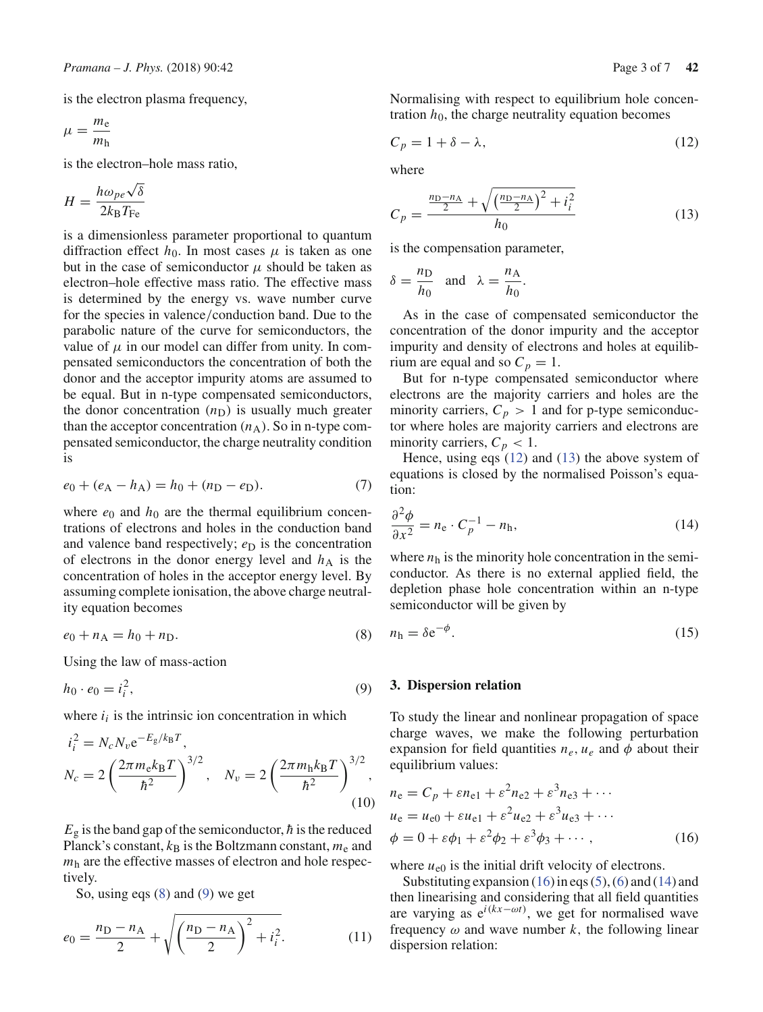is the electron plasma frequency,

$$
\mu = \frac{m_{\rm e}}{m_{\rm h}}
$$

is the electron–hole mass ratio,

$$
H = \frac{h\omega_{pe}\sqrt{\delta}}{2k_{\rm B}T_{\rm Fe}}
$$

is a dimensionless parameter proportional to quantum diffraction effect  $h_0$ . In most cases  $\mu$  is taken as one but in the case of semiconductor  $\mu$  should be taken as electron–hole effective mass ratio. The effective mass is determined by the energy vs. wave number curve for the species in valence/conduction band. Due to the parabolic nature of the curve for semiconductors, the value of  $\mu$  in our model can differ from unity. In compensated semiconductors the concentration of both the donor and the acceptor impurity atoms are assumed to be equal. But in n-type compensated semiconductors, the donor concentration  $(n_D)$  is usually much greater than the acceptor concentration  $(n_A)$ . So in n-type compensated semiconductor, the charge neutrality condition is

$$
e_0 + (e_A - h_A) = h_0 + (n_D - e_D). \tag{7}
$$

where  $e_0$  and  $h_0$  are the thermal equilibrium concentrations of electrons and holes in the conduction band and valence band respectively;  $e_D$  is the concentration of electrons in the donor energy level and  $h<sub>A</sub>$  is the concentration of holes in the acceptor energy level. By assuming complete ionisation, the above charge neutrality equation becomes

$$
e_0 + n_A = h_0 + n_D.
$$
 (8)

Using the law of mass-action

$$
h_0 \cdot e_0 = i_i^2,\tag{9}
$$

where  $i_i$  is the intrinsic ion concentration in which

$$
i_i^2 = N_c N_v e^{-E_g/k_B T},
$$
  
\n
$$
N_c = 2 \left( \frac{2\pi m_e k_B T}{\hbar^2} \right)^{3/2}, \quad N_v = 2 \left( \frac{2\pi m_h k_B T}{\hbar^2} \right)^{3/2},
$$
\n(10)

 $E<sub>g</sub>$  is the band gap of the semiconductor,  $\hbar$  is the reduced Planck's constant,  $k_B$  is the Boltzmann constant,  $m_e$  and *m*<sup>h</sup> are the effective masses of electron and hole respectively.

So, using eqs (8) and (9) we get

$$
e_0 = \frac{n_D - n_A}{2} + \sqrt{\left(\frac{n_D - n_A}{2}\right)^2 + i_i^2}.
$$
 (11)

Normalising with respect to equilibrium hole concentration  $h_0$ , the charge neutrality equation becomes

$$
C_p = 1 + \delta - \lambda,\tag{12}
$$

where

$$
C_p = \frac{\frac{n_D - n_A}{2} + \sqrt{\left(\frac{n_D - n_A}{2}\right)^2 + i_i^2}}{h_0} \tag{13}
$$

is the compensation parameter,

$$
\delta = \frac{n_{\rm D}}{h_0} \quad \text{and} \quad \lambda = \frac{n_{\rm A}}{h_0}.
$$

As in the case of compensated semiconductor the concentration of the donor impurity and the acceptor impurity and density of electrons and holes at equilibrium are equal and so  $C_p = 1$ .

But for n-type compensated semiconductor where electrons are the majority carriers and holes are the minority carriers,  $C_p > 1$  and for p-type semiconductor where holes are majority carriers and electrons are minority carriers,  $C_p < 1$ .

Hence, using eqs (12) and (13) the above system of equations is closed by the normalised Poisson's equation:

$$
\frac{\partial^2 \phi}{\partial x^2} = n_e \cdot C_p^{-1} - n_h,\tag{14}
$$

where  $n_h$  is the minority hole concentration in the semiconductor. As there is no external applied field, the depletion phase hole concentration within an n-type semiconductor will be given by

$$
n_{\rm h} = \delta \rm e^{-\phi}.\tag{15}
$$

#### **3. Dispersion relation**

To study the linear and nonlinear propagation of space charge waves, we make the following perturbation expansion for field quantities  $n_e$ ,  $u_e$  and  $\phi$  about their equilibrium values:

$$
n_e = C_p + \varepsilon n_{e1} + \varepsilon^2 n_{e2} + \varepsilon^3 n_{e3} + \cdots
$$
  
\n
$$
u_e = u_{e0} + \varepsilon u_{e1} + \varepsilon^2 u_{e2} + \varepsilon^3 u_{e3} + \cdots
$$
  
\n
$$
\phi = 0 + \varepsilon \phi_1 + \varepsilon^2 \phi_2 + \varepsilon^3 \phi_3 + \cdots,
$$
\n(16)

where  $u_{e0}$  is the initial drift velocity of electrons.

Substituting expansion (16) in eqs (5), (6) and (14) and then linearising and considering that all field quantities are varying as e*i*(*kx*−ω*t*) , we get for normalised wave frequency  $\omega$  and wave number  $k$ , the following linear dispersion relation: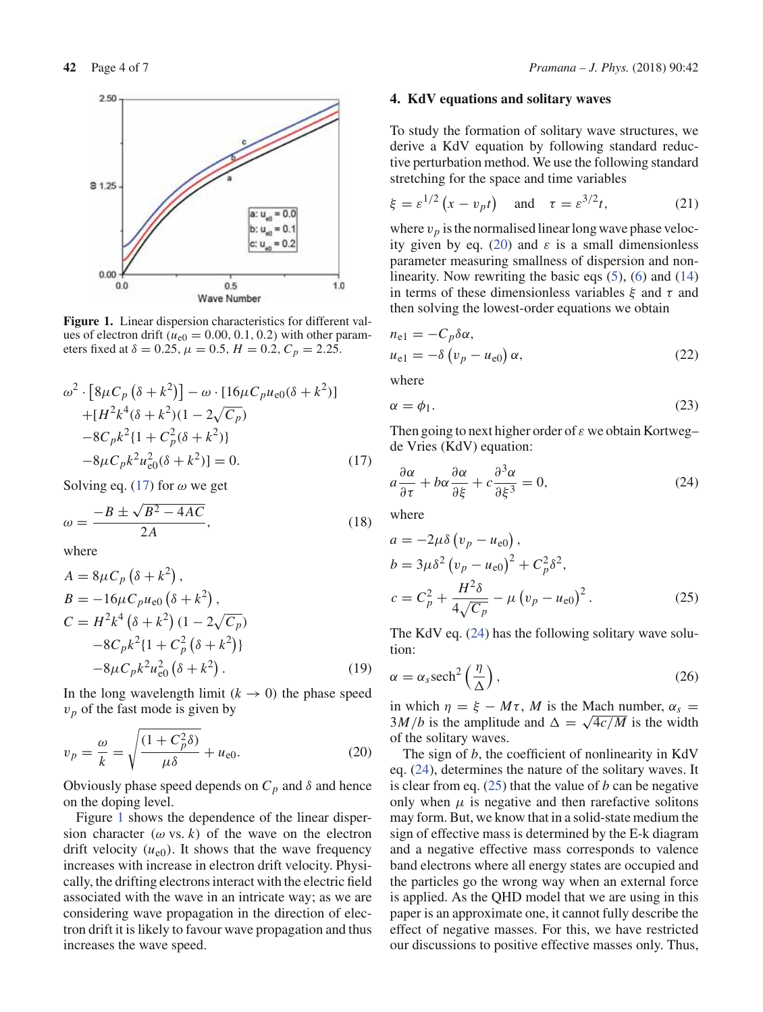

**Figure 1.** Linear dispersion characteristics for different values of electron drift ( $u_{e0} = 0.00, 0.1, 0.2$ ) with other parameters fixed at  $\delta = 0.25$ ,  $\mu = 0.5$ ,  $H = 0.2$ ,  $C_p = 2.25$ .

$$
\omega^2 \cdot [8\mu C_p (\delta + k^2)] - \omega \cdot [16\mu C_p u_{e0} (\delta + k^2)]
$$
  
+
$$
[H^2 k^4 (\delta + k^2)(1 - 2\sqrt{C_p})
$$
  
-
$$
-8C_p k^2 \{1 + C_p^2 (\delta + k^2)\}
$$
  
-
$$
8\mu C_p k^2 u_{e0}^2 (\delta + k^2)] = 0.
$$
 (17)

Solving eq. (17) for  $\omega$  we get

$$
\omega = \frac{-B \pm \sqrt{B^2 - 4AC}}{2A},\tag{18}
$$

where

$$
A = 8\mu C_p (\delta + k^2),
$$
  
\n
$$
B = -16\mu C_p u_{e0} (\delta + k^2),
$$
  
\n
$$
C = H^2 k^4 (\delta + k^2) (1 - 2\sqrt{C_p})
$$
  
\n
$$
-8C_p k^2 \{1 + C_p^2 (\delta + k^2)\}
$$
  
\n
$$
-8\mu C_p k^2 u_{e0}^2 (\delta + k^2).
$$
 (19)

In the long wavelength limit  $(k \rightarrow 0)$  the phase speed  $v_p$  of the fast mode is given by

$$
v_p = \frac{\omega}{k} = \sqrt{\frac{(1 + C_p^2 \delta)}{\mu \delta}} + u_{e0}.
$$
 (20)

Obviously phase speed depends on  $C_p$  and  $\delta$  and hence on the doping level.

Figure 1 shows the dependence of the linear dispersion character ( $\omega$  vs. *k*) of the wave on the electron drift velocity  $(u_{e0})$ . It shows that the wave frequency increases with increase in electron drift velocity. Physically, the drifting electrons interact with the electric field associated with the wave in an intricate way; as we are considering wave propagation in the direction of electron drift it is likely to favour wave propagation and thus increases the wave speed.

#### **4. KdV equations and solitary waves**

To study the formation of solitary wave structures, we derive a KdV equation by following standard reductive perturbation method. We use the following standard stretching for the space and time variables

$$
\xi = \varepsilon^{1/2} \left( x - v_p t \right) \quad \text{and} \quad \tau = \varepsilon^{3/2} t, \tag{21}
$$

where  $v_p$  is the normalised linear long wave phase velocity given by eq. (20) and  $\varepsilon$  is a small dimensionless parameter measuring smallness of dispersion and nonlinearity. Now rewriting the basic eqs (5), (6) and (14) in terms of these dimensionless variables  $\xi$  and  $\tau$  and then solving the lowest-order equations we obtain

$$
n_{e1} = -C_p \delta \alpha,
$$
  
\n
$$
u_{e1} = -\delta \left( v_p - u_{e0} \right) \alpha,
$$
\n(22)

where

$$
\alpha = \phi_1. \tag{23}
$$

Then going to next higher order of  $\varepsilon$  we obtain Kortweg– de Vries (KdV) equation:

$$
a\frac{\partial \alpha}{\partial \tau} + b\alpha \frac{\partial \alpha}{\partial \xi} + c\frac{\partial^3 \alpha}{\partial \xi^3} = 0, \tag{24}
$$

where

$$
a = -2\mu \delta \left( v_p - u_{e0} \right),
$$
  
\n
$$
b = 3\mu \delta^2 \left( v_p - u_{e0} \right)^2 + C_p^2 \delta^2,
$$
  
\n
$$
c = C_p^2 + \frac{H^2 \delta}{4\sqrt{C_p}} - \mu \left( v_p - u_{e0} \right)^2.
$$
 (25)

The KdV eq. (24) has the following solitary wave solution:

$$
\alpha = \alpha_s \mathrm{sech}^2\left(\frac{\eta}{\Delta}\right),\tag{26}
$$

in which  $\eta = \xi - M\tau$ , *M* is the Mach number,  $\alpha_s$  $3M/b$  is the amplitude and  $\Delta = \sqrt{4c/M}$  is the width of the solitary waves.

The sign of *b*, the coefficient of nonlinearity in KdV eq. (24), determines the nature of the solitary waves. It is clear from eq. (25) that the value of *b* can be negative only when  $\mu$  is negative and then rarefactive solitons may form. But, we know that in a solid-state medium the sign of effective mass is determined by the E-k diagram and a negative effective mass corresponds to valence band electrons where all energy states are occupied and the particles go the wrong way when an external force is applied. As the QHD model that we are using in this paper is an approximate one, it cannot fully describe the effect of negative masses. For this, we have restricted our discussions to positive effective masses only. Thus,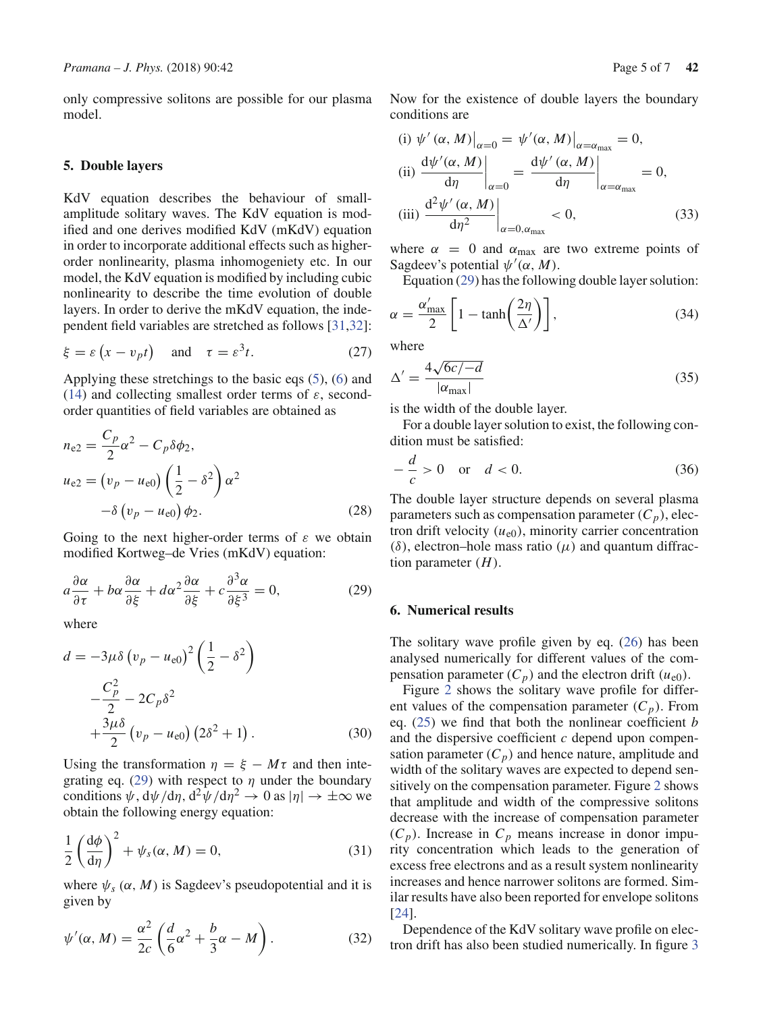only compressive solitons are possible for our plasma model.

#### **5. Double layers**

KdV equation describes the behaviour of smallamplitude solitary waves. The KdV equation is modified and one derives modified KdV (mKdV) equation in order to incorporate additional effects such as higherorder nonlinearity, plasma inhomogeniety etc. In our model, the KdV equation is modified by including cubic nonlinearity to describe the time evolution of double layers. In order to derive the mKdV equation, the independent field variables are stretched as follows [31,32]:

$$
\xi = \varepsilon \left( x - v_p t \right) \quad \text{and} \quad \tau = \varepsilon^3 t. \tag{27}
$$

Applying these stretchings to the basic eqs (5), (6) and (14) and collecting smallest order terms of  $\varepsilon$ , secondorder quantities of field variables are obtained as

$$
n_{e2} = \frac{C_p}{2} \alpha^2 - C_p \delta \phi_2,
$$
  
\n
$$
u_{e2} = (v_p - u_{e0}) \left(\frac{1}{2} - \delta^2\right) \alpha^2
$$
  
\n
$$
-\delta (v_p - u_{e0}) \phi_2.
$$
\n(28)

Going to the next higher-order terms of  $\varepsilon$  we obtain modified Kortweg–de Vries (mKdV) equation:

$$
a\frac{\partial \alpha}{\partial \tau} + b\alpha \frac{\partial \alpha}{\partial \xi} + d\alpha^2 \frac{\partial \alpha}{\partial \xi} + c\frac{\partial^3 \alpha}{\partial \xi^3} = 0, \tag{29}
$$

where

$$
d = -3\mu\delta \left(v_p - u_{e0}\right)^2 \left(\frac{1}{2} - \delta^2\right)
$$

$$
-\frac{C_p^2}{2} - 2C_p\delta^2
$$

$$
+\frac{3\mu\delta}{2} \left(v_p - u_{e0}\right) \left(2\delta^2 + 1\right). \tag{30}
$$

Using the transformation  $\eta = \xi - M\tau$  and then integrating eq. (29) with respect to  $\eta$  under the boundary conditions  $\psi$ ,  $d\psi/d\eta$ ,  $d^2\psi/d\eta^2 \to 0$  as  $|\eta| \to \pm \infty$  we obtain the following energy equation:

$$
\frac{1}{2} \left( \frac{d\phi}{d\eta} \right)^2 + \psi_s(\alpha, M) = 0, \tag{31}
$$

where  $\psi_s(\alpha, M)$  is Sagdeev's pseudopotential and it is given by

$$
\psi'(\alpha, M) = \frac{\alpha^2}{2c} \left( \frac{d}{6} \alpha^2 + \frac{b}{3} \alpha - M \right).
$$
 (32)

Now for the existence of double layers the boundary

(i) 
$$
\psi'(\alpha, M)|_{\alpha=0} = \psi'(\alpha, M)|_{\alpha=\alpha_{\text{max}}} = 0,
$$
  
\n(ii)  $\frac{d\psi'(\alpha, M)}{d\eta}\Big|_{\alpha=0} = \frac{d\psi'(\alpha, M)}{d\eta}\Big|_{\alpha=\alpha_{\text{max}}} = 0,$   
\n(iii)  $\frac{d^2\psi'(\alpha, M)}{d\eta^2}\Big|_{\alpha=0, \alpha_{\text{max}}} < 0,$  (33)

where  $\alpha = 0$  and  $\alpha_{\text{max}}$  are two extreme points of Sagdeev's potential  $\psi'(\alpha, M)$ .

Equation (29) has the following double layer solution:

$$
\alpha = \frac{\alpha'_{\text{max}}}{2} \left[ 1 - \tanh\left(\frac{2\eta}{\Delta'}\right) \right],\tag{34}
$$

where

conditions are

$$
\Delta' = \frac{4\sqrt{6c/-d}}{|\alpha_{\text{max}}|} \tag{35}
$$

is the width of the double layer.

For a double layer solution to exist, the following condition must be satisfied:

$$
-\frac{d}{c} > 0 \quad \text{or} \quad d < 0. \tag{36}
$$

The double layer structure depends on several plasma parameters such as compensation parameter  $(C_p)$ , electron drift velocity  $(u_{e0})$ , minority carrier concentration  $(\delta)$ , electron–hole mass ratio  $(\mu)$  and quantum diffraction parameter (*H*).

#### **6. Numerical results**

The solitary wave profile given by eq. (26) has been analysed numerically for different values of the compensation parameter  $(C_p)$  and the electron drift  $(u_{e0})$ .

Figure 2 shows the solitary wave profile for different values of the compensation parameter  $(C_p)$ . From eq. (25) we find that both the nonlinear coefficient *b* and the dispersive coefficient *c* depend upon compensation parameter  $(C_p)$  and hence nature, amplitude and width of the solitary waves are expected to depend sensitively on the compensation parameter. Figure 2 shows that amplitude and width of the compressive solitons decrease with the increase of compensation parameter  $(C_p)$ . Increase in  $C_p$  means increase in donor impurity concentration which leads to the generation of excess free electrons and as a result system nonlinearity increases and hence narrower solitons are formed. Similar results have also been reported for envelope solitons [24].

Dependence of the KdV solitary wave profile on electron drift has also been studied numerically. In figure 3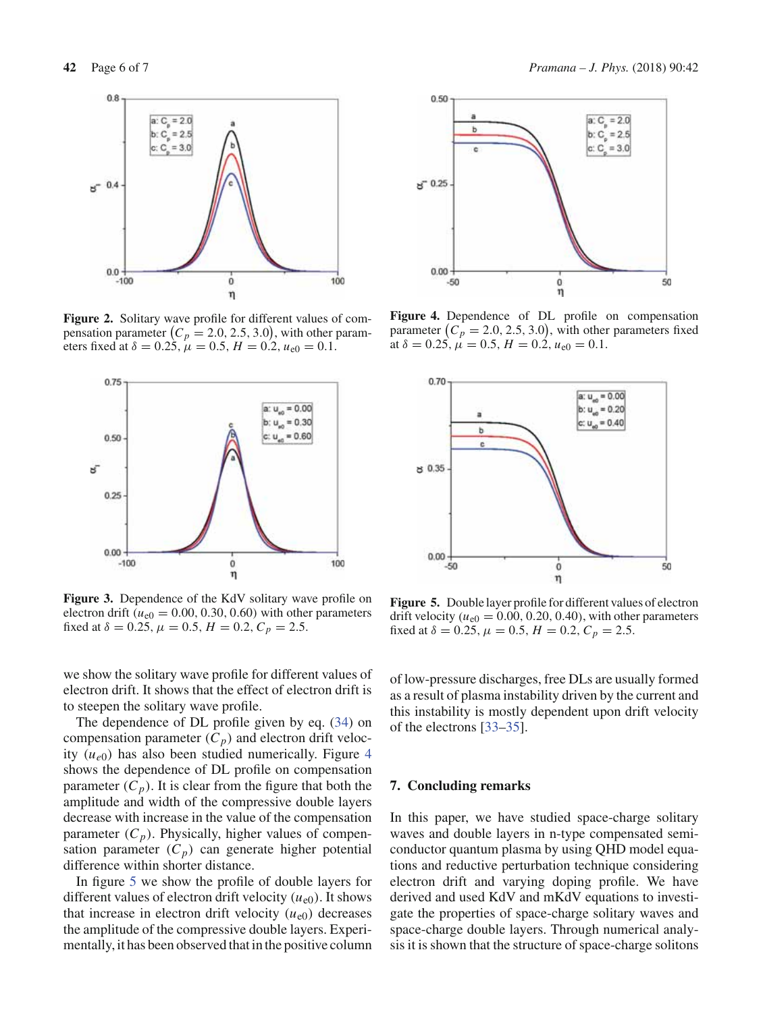

**Figure 2.** Solitary wave profile for different values of compensation parameter  $(C_p = 2.0, 2.5, 3.0)$ , with other parameters fixed at  $\delta = 0.25$ ,  $\mu = 0.5$ ,  $H = 0.2$ ,  $u_{e0} = 0.1$ .



**Figure 3.** Dependence of the KdV solitary wave profile on electron drift ( $u_{e0} = 0.00, 0.30, 0.60$ ) with other parameters fixed at  $\delta = 0.25$ ,  $\mu = 0.5$ ,  $H = 0.2$ ,  $C_p = 2.5$ .

we show the solitary wave profile for different values of electron drift. It shows that the effect of electron drift is to steepen the solitary wave profile.

The dependence of DL profile given by eq. (34) on compensation parameter  $(C_p)$  and electron drift velocity  $(u_{e0})$  has also been studied numerically. Figure 4 shows the dependence of DL profile on compensation parameter  $(C_p)$ . It is clear from the figure that both the amplitude and width of the compressive double layers decrease with increase in the value of the compensation parameter  $(C_p)$ . Physically, higher values of compensation parameter  $(C_p)$  can generate higher potential difference within shorter distance.

In figure 5 we show the profile of double layers for different values of electron drift velocity  $(u_{e0})$ . It shows that increase in electron drift velocity  $(u_{e0})$  decreases the amplitude of the compressive double layers. Experimentally, it has been observed that in the positive column



**Figure 4.** Dependence of DL profile on compensation parameter  $(C_p = 2.0, 2.5, 3.0)$ , with other parameters fixed at  $\delta = 0.25$ ,  $\mu = 0.5$ ,  $H = 0.2$ ,  $u_{e0} = 0.1$ .



**Figure 5.** Double layer profile for different values of electron drift velocity ( $u_{e0} = 0.00, 0.20, 0.40$ ), with other parameters fixed at  $\delta = 0.25$ ,  $\mu = 0.5$ ,  $H = 0.2$ ,  $C_p = 2.5$ .

of low-pressure discharges, free DLs are usually formed as a result of plasma instability driven by the current and this instability is mostly dependent upon drift velocity of the electrons [33–35].

#### **7. Concluding remarks**

In this paper, we have studied space-charge solitary waves and double layers in n-type compensated semiconductor quantum plasma by using QHD model equations and reductive perturbation technique considering electron drift and varying doping profile. We have derived and used KdV and mKdV equations to investigate the properties of space-charge solitary waves and space-charge double layers. Through numerical analysis it is shown that the structure of space-charge solitons